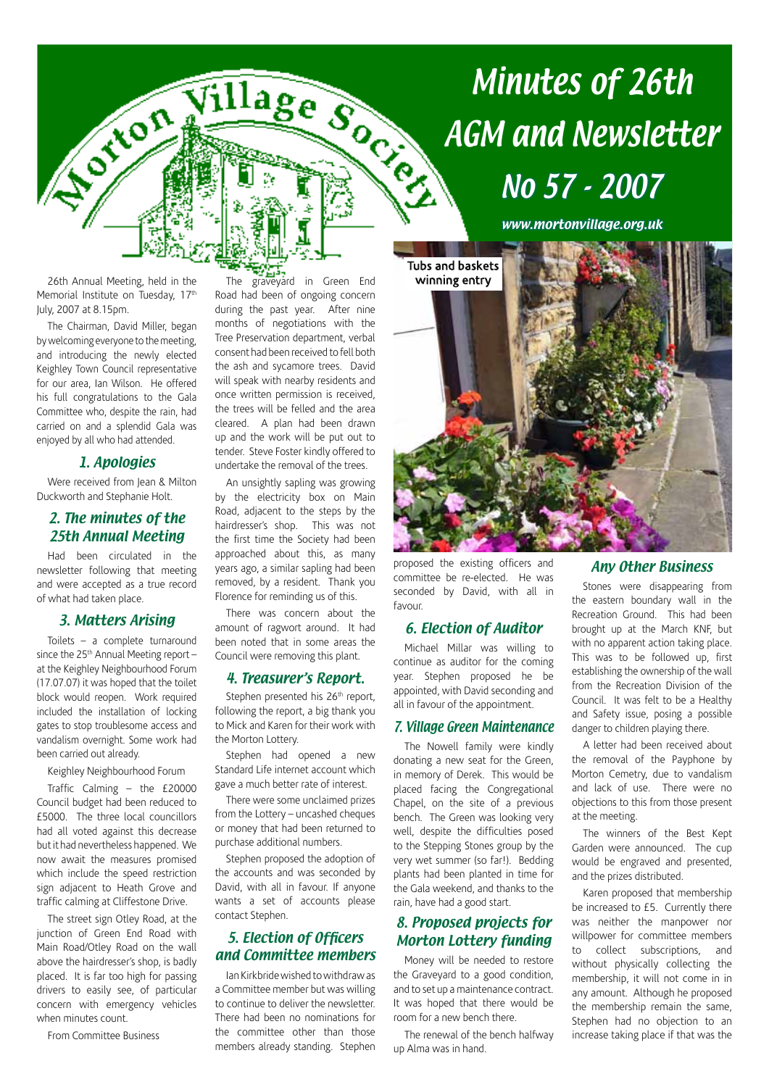

#### 26th Annual Meeting, held in the Memorial Institute on Tuesday, 17<sup>th</sup> July, 2007 at 8.15pm.

The Chairman, David Miller, began by welcoming everyone to the meeting, and introducing the newly elected Keighley Town Council representative for our area, Ian Wilson. He offered his full congratulations to the Gala Committee who, despite the rain, had carried on and a splendid Gala was enjoyed by all who had attended.

# 1. Apologies

Were received from Jean & Milton Duckworth and Stephanie Holt.

# 2. The minutes of the 25th Annual Meeting

Had been circulated in the newsletter following that meeting and were accepted as a true record of what had taken place.

## 3. Matters Arising

Toilets – a complete turnaround since the  $25<sup>th</sup>$  Annual Meeting report – at the Keighley Neighbourhood Forum (17.07.07) it was hoped that the toilet block would reopen. Work required included the installation of locking gates to stop troublesome access and vandalism overnight. Some work had been carried out already.

Keighley Neighbourhood Forum

Traffic Calming – the £20000 Council budget had been reduced to £5000. The three local councillors had all voted against this decrease but it had nevertheless happened. We now await the measures promised which include the speed restriction sign adjacent to Heath Grove and traffic calming at Cliffestone Drive.

The street sign Otley Road, at the junction of Green End Road with Main Road/Otley Road on the wall above the hairdresser's shop, is badly placed. It is far too high for passing drivers to easily see, of particular concern with emergency vehicles when minutes count.

From Committee Business

The graveyard in Green End Road had been of ongoing concern during the past year. After nine months of negotiations with the Tree Preservation department, verbal consent had been received to fell both the ash and sycamore trees. David will speak with nearby residents and once written permission is received, the trees will be felled and the area cleared. A plan had been drawn up and the work will be put out to tender. Steve Foster kindly offered to undertake the removal of the trees.

An unsightly sapling was growing by the electricity box on Main Road, adjacent to the steps by the hairdresser's shop. This was not the first time the Society had been approached about this, as many years ago, a similar sapling had been removed, by a resident. Thank you Florence for reminding us of this.

There was concern about the amount of ragwort around. It had been noted that in some areas the Council were removing this plant.

## 4. Treasurer's Report.

Stephen presented his 26<sup>th</sup> report, following the report, a big thank you to Mick and Karen for their work with the Morton Lottery.

Stephen had opened a new Standard Life internet account which gave a much better rate of interest.

There were some unclaimed prizes from the Lottery – uncashed cheques or money that had been returned to purchase additional numbers.

Stephen proposed the adoption of the accounts and was seconded by David, with all in favour. If anyone wants a set of accounts please contact Stephen.

# 5. Election of Officers and Committee members

Ian Kirkbride wished to withdraw as a Committee member but was willing to continue to deliver the newsletter. There had been no nominations for the committee other than those members already standing. Stephen

# Minutes of 26th No 57 - 2007

www.mortonvillage.org.uk



proposed the existing officers and committee be re-elected. He was seconded by David, with all in favour.

# 6. Election of Auditor

Michael Millar was willing to continue as auditor for the coming year. Stephen proposed he be appointed, with David seconding and all in favour of the appointment.

#### 7. Village Green Maintenance

The Nowell family were kindly donating a new seat for the Green, in memory of Derek. This would be placed facing the Congregational Chapel, on the site of a previous bench. The Green was looking very well, despite the difficulties posed to the Stepping Stones group by the very wet summer (so far!). Bedding plants had been planted in time for the Gala weekend, and thanks to the rain, have had a good start.

# 8. Proposed projects for Morton Lottery funding

Money will be needed to restore the Graveyard to a good condition, and to set up a maintenance contract. It was hoped that there would be room for a new bench there.

The renewal of the bench halfway up Alma was in hand.

## Any Other Business

Stones were disappearing from the eastern boundary wall in the Recreation Ground. This had been brought up at the March KNF, but with no apparent action taking place. This was to be followed up, first establishing the ownership of the wall from the Recreation Division of the Council. It was felt to be a Healthy and Safety issue, posing a possible danger to children playing there.

A letter had been received about the removal of the Payphone by Morton Cemetry, due to vandalism and lack of use. There were no objections to this from those present at the meeting.

The winners of the Best Kept Garden were announced. The cup would be engraved and presented, and the prizes distributed.

Karen proposed that membership be increased to £5. Currently there was neither the manpower nor willpower for committee members to collect subscriptions, and without physically collecting the membership, it will not come in in any amount. Although he proposed the membership remain the same, Stephen had no objection to an increase taking place if that was the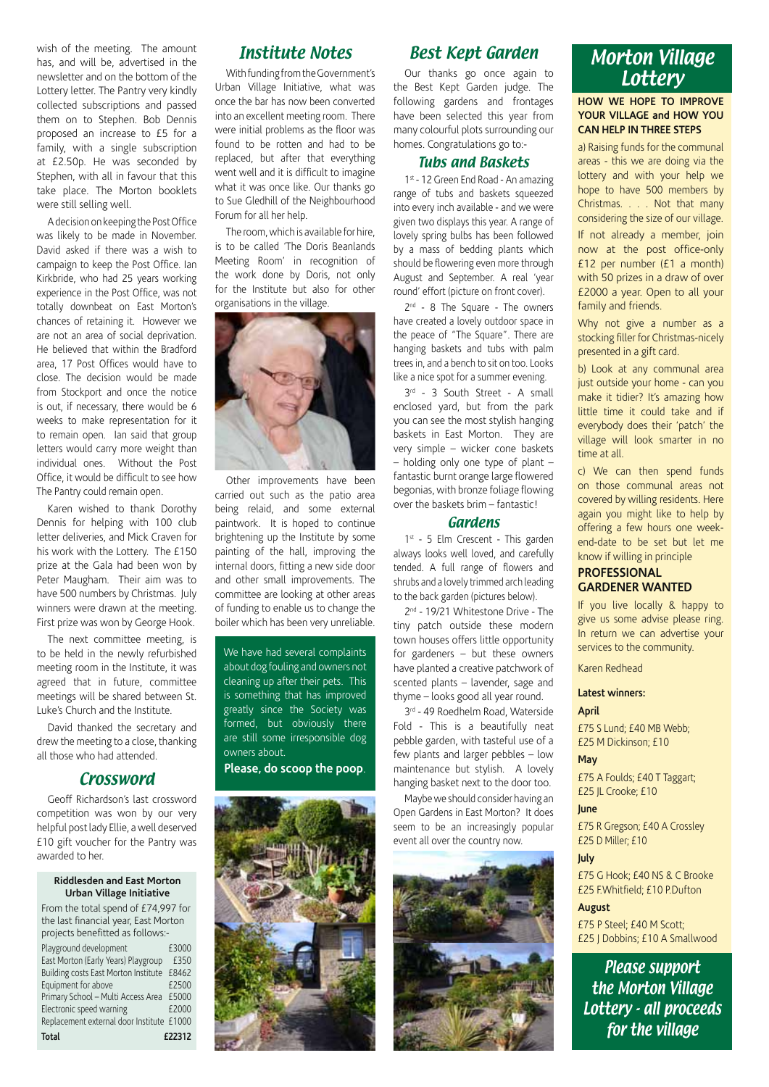wish of the meeting. The amount has, and will be, advertised in the newsletter and on the bottom of the Lottery letter. The Pantry very kindly collected subscriptions and passed them on to Stephen. Bob Dennis proposed an increase to £5 for a family, with a single subscription at £2.50p. He was seconded by Stephen, with all in favour that this take place. The Morton booklets were still selling well.

A decision on keeping the Post Office was likely to be made in November. David asked if there was a wish to campaign to keep the Post Office. Ian Kirkbride, who had 25 years working experience in the Post Office, was not totally downbeat on East Morton's chances of retaining it. However we are not an area of social deprivation. He believed that within the Bradford area, 17 Post Offices would have to close. The decision would be made from Stockport and once the notice is out, if necessary, there would be 6 weeks to make representation for it to remain open. Ian said that group letters would carry more weight than individual ones. Without the Post Office, it would be difficult to see how The Pantry could remain open.

Karen wished to thank Dorothy Dennis for helping with 100 club letter deliveries, and Mick Craven for his work with the Lottery. The £150 prize at the Gala had been won by Peter Maugham. Their aim was to have 500 numbers by Christmas. July winners were drawn at the meeting. First prize was won by George Hook.

The next committee meeting, is to be held in the newly refurbished meeting room in the Institute, it was agreed that in future, committee meetings will be shared between St. Luke's Church and the Institute.

David thanked the secretary and drew the meeting to a close, thanking all those who had attended.

#### **Crossword**

Geoff Richardson's last crossword competition was won by our very helpful post lady Ellie, a well deserved £10 gift voucher for the Pantry was awarded to her.

#### **Riddlesden and East Morton Urban Village Initiative**

| From the total spend of £74,997 for       |        |
|-------------------------------------------|--------|
| the last financial year, East Morton      |        |
| projects benefitted as follows:-          |        |
| Playground development                    | £3000  |
| East Morton (Early Years) Playgroup       | £350   |
| Building costs East Morton Institute      | £8462  |
| Equipment for above                       | £2500  |
| Primary School - Multi Access Area        | £5000  |
| Electronic speed warning                  | £2000  |
| Replacement external door Institute £1000 |        |
| Total                                     | £22312 |

# Institute Notes

With funding from the Government's Urban Village Initiative, what was once the bar has now been converted into an excellent meeting room. There were initial problems as the floor was found to be rotten and had to be replaced, but after that everything went well and it is difficult to imagine what it was once like. Our thanks go to Sue Gledhill of the Neighbourhood Forum for all her help.

The room, which is available for hire, is to be called 'The Doris Beanlands Meeting Room' in recognition of the work done by Doris, not only for the Institute but also for other organisations in the village.



Other improvements have been carried out such as the patio area being relaid, and some external paintwork. It is hoped to continue brightening up the Institute by some painting of the hall, improving the internal doors, fitting a new side door and other small improvements. The committee are looking at other areas of funding to enable us to change the boiler which has been very unreliable.

We have had several complaints about dog fouling and owners not cleaning up after their pets. This is something that has improved greatly since the Society was formed, but obviously there are still some irresponsible dog owners about.

# **Please, do scoop the poop**.



# Best Kept Garden

Our thanks go once again to the Best Kept Garden judge. The following gardens and frontages have been selected this year from many colourful plots surrounding our homes. Congratulations go to:-

#### Tubs and Baskets

1st - 12 Green End Road - An amazing range of tubs and baskets squeezed into every inch available - and we were given two displays this year. A range of lovely spring bulbs has been followed by a mass of bedding plants which should be flowering even more through August and September. A real 'year round' effort (picture on front cover).

2<sup>nd</sup> - 8 The Square - The owners have created a lovely outdoor space in the peace of "The Square". There are hanging baskets and tubs with palm trees in, and a bench to sit on too. Looks like a nice spot for a summer evening.

3rd - 3 South Street - A small enclosed yard, but from the park you can see the most stylish hanging baskets in East Morton. They are very simple – wicker cone baskets – holding only one type of plant – fantastic burnt orange large flowered begonias, with bronze foliage flowing over the baskets brim – fantastic!

#### Gardens

1<sup>st</sup> - 5 Elm Crescent - This garden always looks well loved, and carefully tended. A full range of flowers and shrubs and a lovely trimmed arch leading to the back garden (pictures below).

2nd - 19/21 Whitestone Drive - The tiny patch outside these modern town houses offers little opportunity for gardeners – but these owners have planted a creative patchwork of scented plants – lavender, sage and thyme – looks good all year round.

3rd - 49 Roedhelm Road, Waterside Fold - This is a beautifully neat pebble garden, with tasteful use of a few plants and larger pebbles – low maintenance but stylish. A lovely hanging basket next to the door too.

Maybe we should consider having an Open Gardens in East Morton? It does seem to be an increasingly popular event all over the country now.



# Morton Village **Lottery**

#### **HOW WE HOPE TO IMPROVE YOUR VILLAGE and HOW YOU CAN HELP IN THREE STEPS**

a) Raising funds for the communal areas - this we are doing via the lottery and with your help we hope to have 500 members by Christmas. . . . Not that many considering the size of our village. If not already a member, join now at the post office-only £12 per number (£1 a month) with 50 prizes in a draw of over £2000 a year. Open to all your family and friends.

Why not give a number as a stocking filler for Christmas-nicely presented in a gift card.

b) Look at any communal area just outside your home - can you make it tidier? It's amazing how little time it could take and if everybody does their 'patch' the village will look smarter in no time at all.

c) We can then spend funds on those communal areas not covered by willing residents. Here again you might like to help by offering a few hours one weekend-date to be set but let me know if willing in principle

#### **PROFESSIONAL GARDENER WANTED**

If you live locally & happy to give us some advise please ring. In return we can advertise your services to the community.

Karen Redhead

#### **Latest winners:**

# **April**

£75 S Lund; £40 MB Webb; £25 M Dickinson; £10

#### **May**

£75 A Foulds; £40 T Taggart; £25 JL Crooke; £10

#### **June**

£75 R Gregson; £40 A Crossley £25 D Miller; £10

#### **July**

£75 G Hook; £40 NS & C Brooke £25 F.Whitfield; £10 P.Dufton

#### **August**

£75 P Steel; £40 M Scott; £25 J Dobbins; £10 A Smallwood

Please support the Morton Village Lottery - all proceeds for the village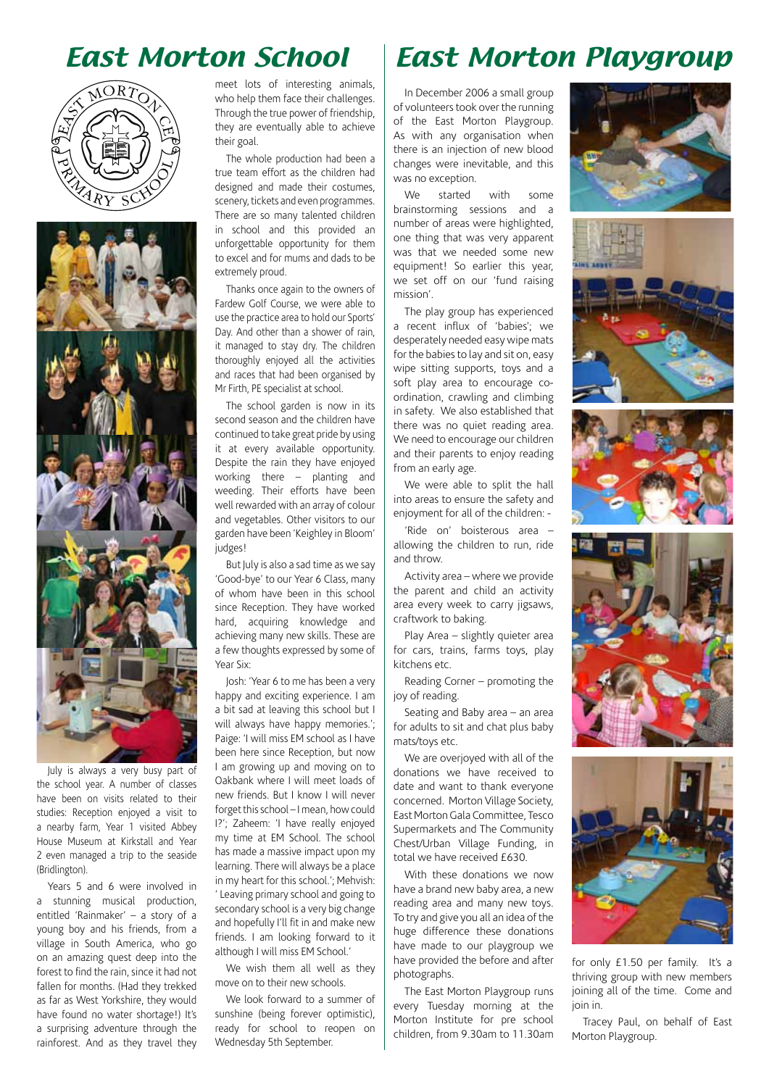# East Morton School





July is always a very busy part of the school year. A number of classes have been on visits related to their studies: Reception enjoyed a visit to a nearby farm, Year 1 visited Abbey House Museum at Kirkstall and Year 2 even managed a trip to the seaside (Bridlington).

Years 5 and 6 were involved in a stunning musical production, entitled 'Rainmaker' – a story of a young boy and his friends, from a village in South America, who go on an amazing quest deep into the forest to find the rain, since it had not fallen for months. (Had they trekked as far as West Yorkshire, they would have found no water shortage!) It's a surprising adventure through the rainforest. And as they travel they meet lots of interesting animals, who help them face their challenges. Through the true power of friendship, they are eventually able to achieve their goal.

The whole production had been a true team effort as the children had designed and made their costumes, scenery, tickets and even programmes. There are so many talented children in school and this provided an unforgettable opportunity for them to excel and for mums and dads to be extremely proud.

Thanks once again to the owners of Fardew Golf Course, we were able to use the practice area to hold our Sports' Day. And other than a shower of rain, it managed to stay dry. The children thoroughly enjoyed all the activities and races that had been organised by Mr Firth, PE specialist at school.

The school garden is now in its second season and the children have continued to take great pride by using it at every available opportunity. Despite the rain they have enjoyed working there – planting and weeding. Their efforts have been well rewarded with an array of colour and vegetables. Other visitors to our garden have been 'Keighley in Bloom' judges!

But July is also a sad time as we say 'Good-bye' to our Year 6 Class, many of whom have been in this school since Reception. They have worked hard, acquiring knowledge and achieving many new skills. These are a few thoughts expressed by some of Year Six:

Josh: 'Year 6 to me has been a very happy and exciting experience. I am a bit sad at leaving this school but I will always have happy memories.'; Paige: 'I will miss EM school as I have been here since Reception, but now I am growing up and moving on to Oakbank where I will meet loads of new friends. But I know I will never forget this school – I mean, how could I?'; Zaheem: 'I have really enjoyed my time at EM School. The school has made a massive impact upon my learning. There will always be a place in my heart for this school.'; Mehvish: ' Leaving primary school and going to secondary school is a very big change and hopefully I'll fit in and make new friends. I am looking forward to it although I will miss EM School.'

We wish them all well as they move on to their new schools.

We look forward to a summer of sunshine (being forever optimistic), ready for school to reopen on Wednesday 5th September.

# East Morton Playgroup

In December 2006 a small group of volunteers took over the running of the East Morton Playgroup. As with any organisation when there is an injection of new blood changes were inevitable, and this was no exception.

We started with some brainstorming sessions and a number of areas were highlighted, one thing that was very apparent was that we needed some new equipment! So earlier this year, we set off on our 'fund raising mission'.

The play group has experienced a recent influx of 'babies'; we desperately needed easy wipe mats for the babies to lay and sit on, easy wipe sitting supports, toys and a soft play area to encourage coordination, crawling and climbing in safety. We also established that there was no quiet reading area. We need to encourage our children and their parents to enjoy reading from an early age.

We were able to split the hall into areas to ensure the safety and enjoyment for all of the children: -

'Ride on' boisterous area – allowing the children to run, ride and throw.

Activity area – where we provide the parent and child an activity area every week to carry jigsaws, craftwork to baking.

Play Area – slightly quieter area for cars, trains, farms toys, play kitchens etc.

Reading Corner – promoting the joy of reading.

Seating and Baby area – an area for adults to sit and chat plus baby mats/toys etc.

We are overjoyed with all of the donations we have received to date and want to thank everyone concerned. Morton Village Society, East Morton Gala Committee, Tesco Supermarkets and The Community Chest/Urban Village Funding, in total we have received £630.

With these donations we now have a brand new baby area, a new reading area and many new toys. To try and give you all an idea of the huge difference these donations have made to our playgroup we have provided the before and after photographs.

The East Morton Playgroup runs every Tuesday morning at the Morton Institute for pre school children, from 9.30am to 11.30am











for only £1.50 per family. It's a thriving group with new members joining all of the time. Come and join in.

Tracey Paul, on behalf of East Morton Playgroup.